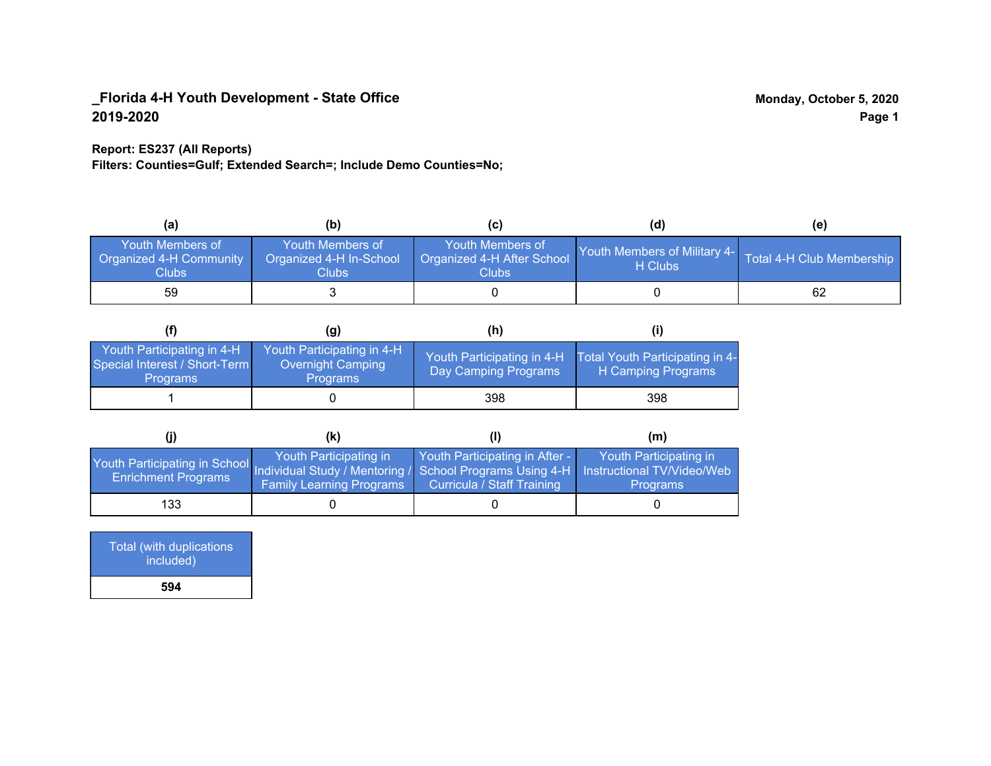### **Report: ES237 (All Reports)**

**Filters: Counties=Gulf; Extended Search=; Include Demo Counties=No;**

| (a)                                                         | (b)                                                  |                                                           | (d)                                                               | (e) |
|-------------------------------------------------------------|------------------------------------------------------|-----------------------------------------------------------|-------------------------------------------------------------------|-----|
| Youth Members of<br><b>Organized 4-H Community</b><br>Clubs | Youth Members of<br>Organized 4-H In-School<br>Clubs | Youth Members of<br>Organized 4-H After School<br>Clubs l | Youth Members of Military 4- Total 4-H Club Membership<br>H Clubs |     |
| 59                                                          |                                                      |                                                           |                                                                   | 62  |

|                                                                                | (g)                                                                       | (h)                                                |                                                       |
|--------------------------------------------------------------------------------|---------------------------------------------------------------------------|----------------------------------------------------|-------------------------------------------------------|
| Youth Participating in 4-H<br>Special Interest / Short-Term<br><b>Programs</b> | Youth Participating in 4-H<br><b>Overnight Camping</b><br><b>Programs</b> | Youth Participating in 4-H<br>Day Camping Programs | Total Youth Participating in 4-<br>H Camping Programs |
|                                                                                |                                                                           | 398                                                | 398                                                   |

|                                                                                                                                                 | (k)                                                       |                                                              | (m)                                       |
|-------------------------------------------------------------------------------------------------------------------------------------------------|-----------------------------------------------------------|--------------------------------------------------------------|-------------------------------------------|
| Youth Participating in School Individual Study / Mentoring / School Programs Using 4-H Instructional TV/Video/Web<br><b>Enrichment Programs</b> | Youth Participating in<br><b>Family Learning Programs</b> | Youth Participating in After -<br>Curricula / Staff Training | Youth Participating in<br><b>Programs</b> |
| 133                                                                                                                                             |                                                           |                                                              |                                           |

| Total (with duplications<br>included) |
|---------------------------------------|
| 594                                   |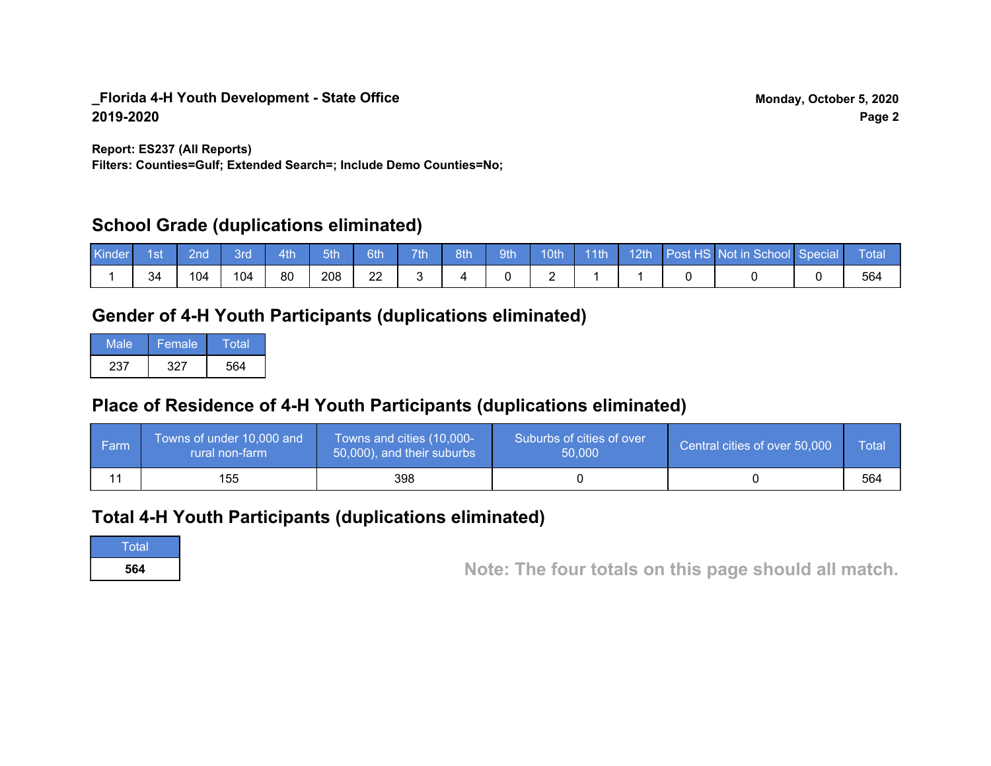**Report: ES237 (All Reports)**

**Filters: Counties=Gulf; Extended Search=; Include Demo Counties=No;**

## **School Grade (duplications eliminated)**

| <b>Kinder</b> | 1st | 2nd | <b>3rd</b> | 4th | 5th | 6th | 7th | 8th | 9th | 10th | $-11$ th | 12th | Post HS Not in School Special | Total |
|---------------|-----|-----|------------|-----|-----|-----|-----|-----|-----|------|----------|------|-------------------------------|-------|
|               | 34  | 104 | 104        | 80  | 208 | 22  |     |     |     | -    |          |      |                               | 564   |

# **Gender of 4-H Youth Participants (duplications eliminated)**

| Male | Female | Total |
|------|--------|-------|
| 237  | 327    | 564   |

# **Place of Residence of 4-H Youth Participants (duplications eliminated)**

| <b>Farm</b> | Towns of under 10,000 and<br>rural non-farm | Towns and cities (10,000-<br>50,000), and their suburbs | Suburbs of cities of over<br>50,000 | Central cities of over 50,000 | Total |
|-------------|---------------------------------------------|---------------------------------------------------------|-------------------------------------|-------------------------------|-------|
|             | 155                                         | 398                                                     |                                     |                               | 564   |

## **Total 4-H Youth Participants (duplications eliminated)**

**Total** 

**<sup>564</sup> Note: The four totals on this page should all match.**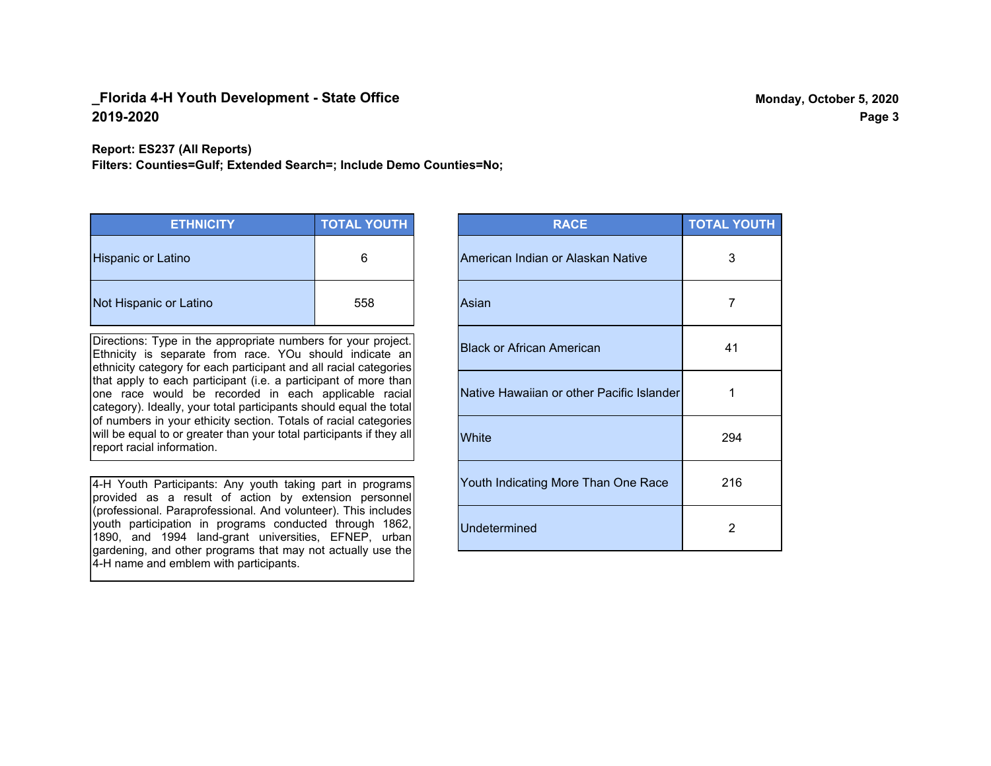**Report: ES237 (All Reports)**

**Filters: Counties=Gulf; Extended Search=; Include Demo Counties=No;**

| <b>ETHNICITY</b>          | <b>TOTAL YOUTH</b> |
|---------------------------|--------------------|
| <b>Hispanic or Latino</b> | 6                  |
| Not Hispanic or Latino    | 558                |

Directions: Type in the appropriate numbers for your project. Ethnicity is separate from race. YOu should indicate an ethnicity category for each participant and all racial categories that apply to each participant (i.e. a participant of more than one race would be recorded in each applicable racial category). Ideally, your total participants should equal the total of numbers in your ethicity section. Totals of racial categories will be equal to or greater than your total participants if they all report racial information.

4-H Youth Participants: Any youth taking part in programs provided as a result of action by extension personnel (professional. Paraprofessional. And volunteer). This includes youth participation in programs conducted through 1862, 1890, and 1994 land-grant universities, EFNEP, urban gardening, and other programs that may not actually use the 4-H name and emblem with participants.

| <b>RACE</b>                               | <b>TOTAL YOUTH</b> |
|-------------------------------------------|--------------------|
| American Indian or Alaskan Native         | 3                  |
| Asian                                     | 7                  |
| <b>Black or African American</b>          | 41                 |
| Native Hawaiian or other Pacific Islander | 1                  |
| White                                     | 294                |
| Youth Indicating More Than One Race       | 216                |
| <b>Undetermined</b>                       | $\overline{2}$     |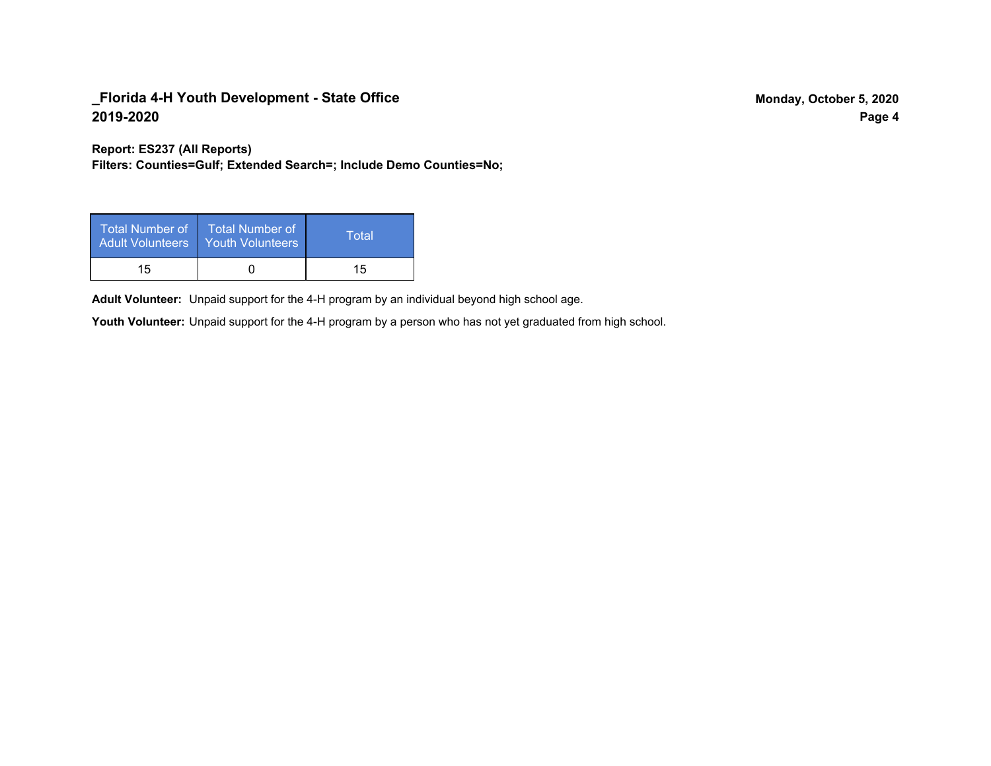**Report: ES237 (All Reports)**

**Filters: Counties=Gulf; Extended Search=; Include Demo Counties=No;**

| <b>Total Number of</b><br><b>Adult Volunteers</b> | <b>Total Number of</b><br>Youth Volunteers | Total |
|---------------------------------------------------|--------------------------------------------|-------|
| 15                                                |                                            | 15    |

Adult Volunteer: Unpaid support for the 4-H program by an individual beyond high school age.

Youth Volunteer: Unpaid support for the 4-H program by a person who has not yet graduated from high school.

**Page 4**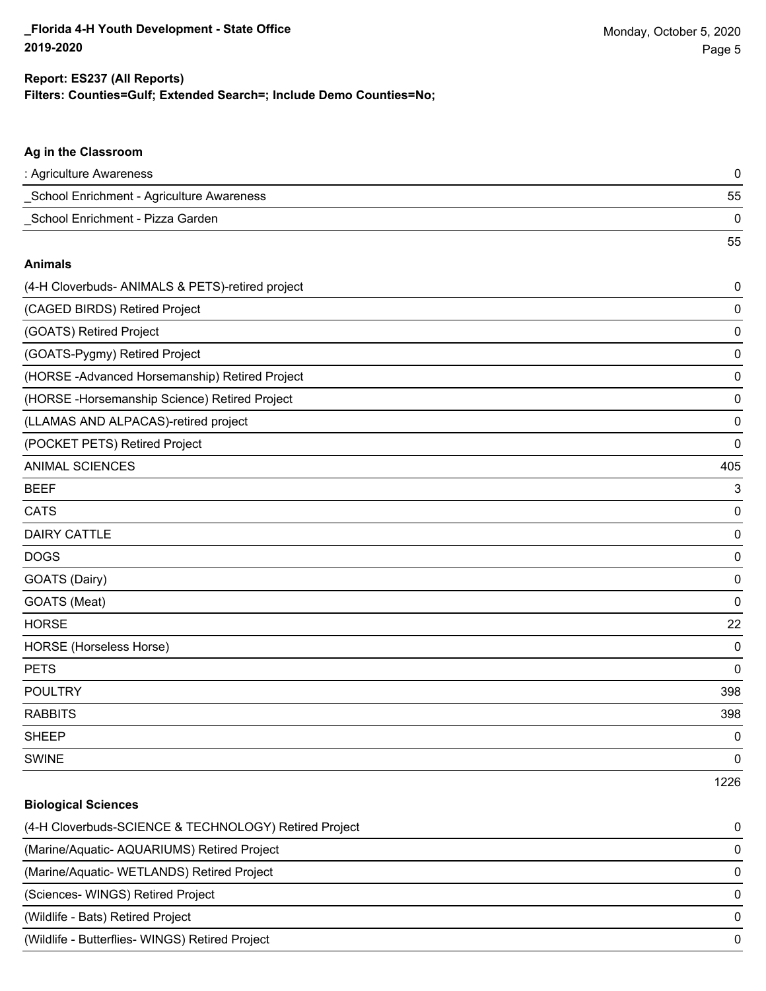55

#### **Ag in the Classroom**

| : Agriculture Awareness                   |    |
|-------------------------------------------|----|
| School Enrichment - Agriculture Awareness | 55 |
| School Enrichment - Pizza Garden          |    |

#### **Animals**

| (4-H Cloverbuds- ANIMALS & PETS)-retired project | $\pmb{0}$   |
|--------------------------------------------------|-------------|
| (CAGED BIRDS) Retired Project                    | 0           |
| (GOATS) Retired Project                          | 0           |
| (GOATS-Pygmy) Retired Project                    | $\mathbf 0$ |
| (HORSE-Advanced Horsemanship) Retired Project    | 0           |
| (HORSE - Horsemanship Science) Retired Project   | 0           |
| (LLAMAS AND ALPACAS)-retired project             | 0           |
| (POCKET PETS) Retired Project                    | 0           |
| <b>ANIMAL SCIENCES</b>                           | 405         |
| <b>BEEF</b>                                      | 3           |
| <b>CATS</b>                                      | 0           |
| <b>DAIRY CATTLE</b>                              | 0           |
| <b>DOGS</b>                                      | 0           |
| GOATS (Dairy)                                    | 0           |
| GOATS (Meat)                                     | $\mathbf 0$ |
| <b>HORSE</b>                                     | 22          |
| HORSE (Horseless Horse)                          | 0           |
| <b>PETS</b>                                      | 0           |
| <b>POULTRY</b>                                   | 398         |
| <b>RABBITS</b>                                   | 398         |
| <b>SHEEP</b>                                     | 0           |
| <b>SWINE</b>                                     | 0           |
|                                                  | 1226        |

## **Biological Sciences**

| (4-H Cloverbuds-SCIENCE & TECHNOLOGY) Retired Project | 0        |
|-------------------------------------------------------|----------|
| (Marine/Aquatic- AQUARIUMS) Retired Project           | 0        |
| (Marine/Aquatic-WETLANDS) Retired Project             | $\Omega$ |
| (Sciences- WINGS) Retired Project                     |          |
| (Wildlife - Bats) Retired Project                     | $\Omega$ |
| (Wildlife - Butterflies- WINGS) Retired Project       |          |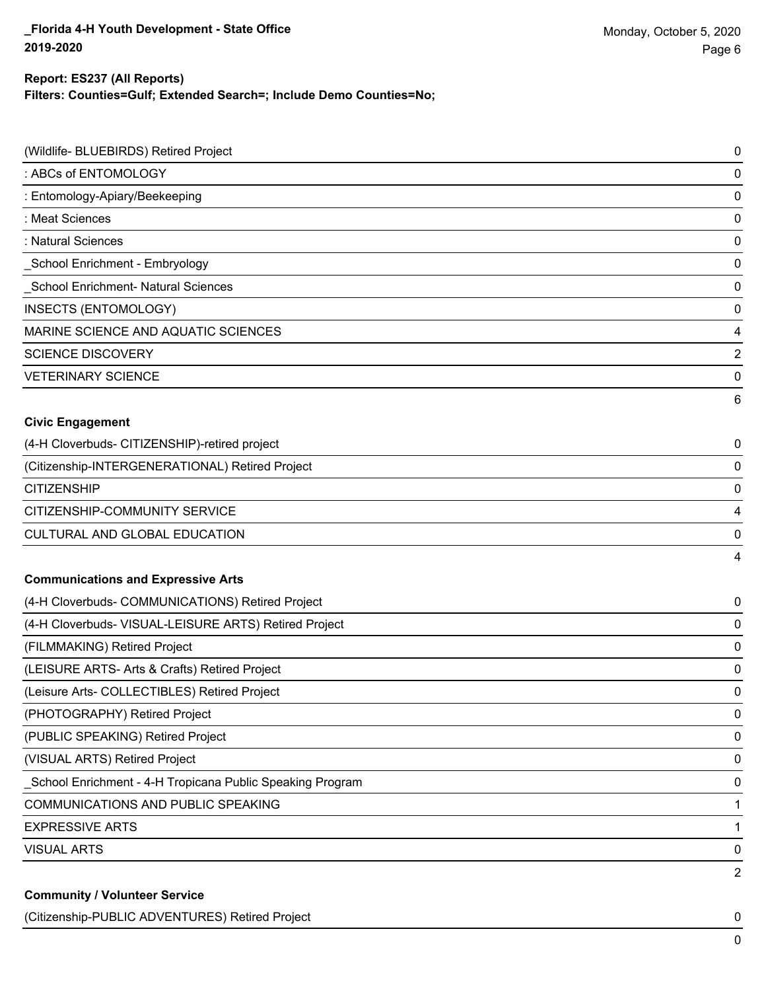### **Filters: Counties=Gulf; Extended Search=; Include Demo Counties=No; Report: ES237 (All Reports)**

| (Wildlife- BLUEBIRDS) Retired Project                     | 0 |
|-----------------------------------------------------------|---|
| : ABCs of ENTOMOLOGY                                      | 0 |
| : Entomology-Apiary/Beekeeping                            | 0 |
| : Meat Sciences                                           | 0 |
| : Natural Sciences                                        | 0 |
| _School Enrichment - Embryology                           | 0 |
| School Enrichment- Natural Sciences                       | 0 |
| INSECTS (ENTOMOLOGY)                                      | 0 |
| MARINE SCIENCE AND AQUATIC SCIENCES                       | 4 |
| <b>SCIENCE DISCOVERY</b>                                  | 2 |
| <b>VETERINARY SCIENCE</b>                                 | 0 |
|                                                           | 6 |
| <b>Civic Engagement</b>                                   |   |
| (4-H Cloverbuds- CITIZENSHIP)-retired project             | 0 |
| (Citizenship-INTERGENERATIONAL) Retired Project           | 0 |
| <b>CITIZENSHIP</b>                                        | 0 |
| CITIZENSHIP-COMMUNITY SERVICE                             | 4 |
| CULTURAL AND GLOBAL EDUCATION                             | 0 |
|                                                           | 4 |
| <b>Communications and Expressive Arts</b>                 |   |
| (4-H Cloverbuds- COMMUNICATIONS) Retired Project          | 0 |
| (4-H Cloverbuds- VISUAL-LEISURE ARTS) Retired Project     | 0 |
| (FILMMAKING) Retired Project                              | 0 |
| (LEISURE ARTS- Arts & Crafts) Retired Project             | 0 |
| (Leisure Arts- COLLECTIBLES) Retired Project              | 0 |
| (PHOTOGRAPHY) Retired Project                             | 0 |
| (PUBLIC SPEAKING) Retired Project                         | 0 |
| (VISUAL ARTS) Retired Project                             | 0 |
| School Enrichment - 4-H Tropicana Public Speaking Program | 0 |
| COMMUNICATIONS AND PUBLIC SPEAKING                        | 1 |
| <b>EXPRESSIVE ARTS</b>                                    | 1 |
| <b>VISUAL ARTS</b>                                        | 0 |
|                                                           | 2 |
| <b>Community / Volunteer Service</b>                      |   |

(Citizenship-PUBLIC ADVENTURES) Retired Project 0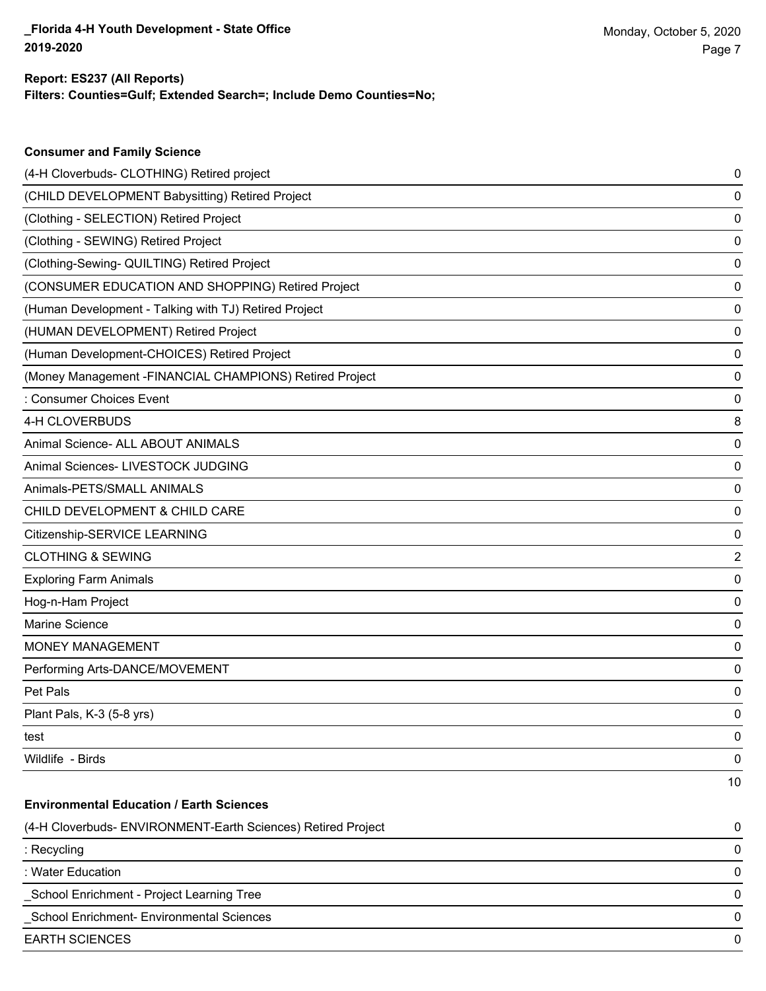| <b>Consumer and Family Science</b>                           |                         |
|--------------------------------------------------------------|-------------------------|
| (4-H Cloverbuds- CLOTHING) Retired project                   | 0                       |
| (CHILD DEVELOPMENT Babysitting) Retired Project              | 0                       |
| (Clothing - SELECTION) Retired Project                       | 0                       |
| (Clothing - SEWING) Retired Project                          | 0                       |
| (Clothing-Sewing- QUILTING) Retired Project                  | 0                       |
| (CONSUMER EDUCATION AND SHOPPING) Retired Project            | 0                       |
| (Human Development - Talking with TJ) Retired Project        | 0                       |
| (HUMAN DEVELOPMENT) Retired Project                          | 0                       |
| (Human Development-CHOICES) Retired Project                  | 0                       |
| (Money Management - FINANCIAL CHAMPIONS) Retired Project     | 0                       |
| : Consumer Choices Event                                     | 0                       |
| 4-H CLOVERBUDS                                               | 8                       |
| Animal Science- ALL ABOUT ANIMALS                            | 0                       |
| Animal Sciences- LIVESTOCK JUDGING                           | 0                       |
| Animals-PETS/SMALL ANIMALS                                   | 0                       |
| CHILD DEVELOPMENT & CHILD CARE                               | 0                       |
| Citizenship-SERVICE LEARNING                                 | 0                       |
| <b>CLOTHING &amp; SEWING</b>                                 | $\overline{\mathbf{c}}$ |
| <b>Exploring Farm Animals</b>                                | 0                       |
| Hog-n-Ham Project                                            | 0                       |
| Marine Science                                               | 0                       |
| MONEY MANAGEMENT                                             | 0                       |
| Performing Arts-DANCE/MOVEMENT                               | 0                       |
| Pet Pals                                                     | 0                       |
| Plant Pals, K-3 (5-8 yrs)                                    | 0                       |
| test                                                         | 0                       |
| Wildlife - Birds                                             | 0                       |
|                                                              | 10                      |
| <b>Environmental Education / Earth Sciences</b>              |                         |
| (4-H Cloverbuds- ENVIRONMENT-Earth Sciences) Retired Project | 0                       |
| : Recycling                                                  | 0                       |

: Water Education 0

\_School Enrichment - Project Learning Tree 0

\_School Enrichment- Environmental Sciences 0

EARTH SCIENCES 0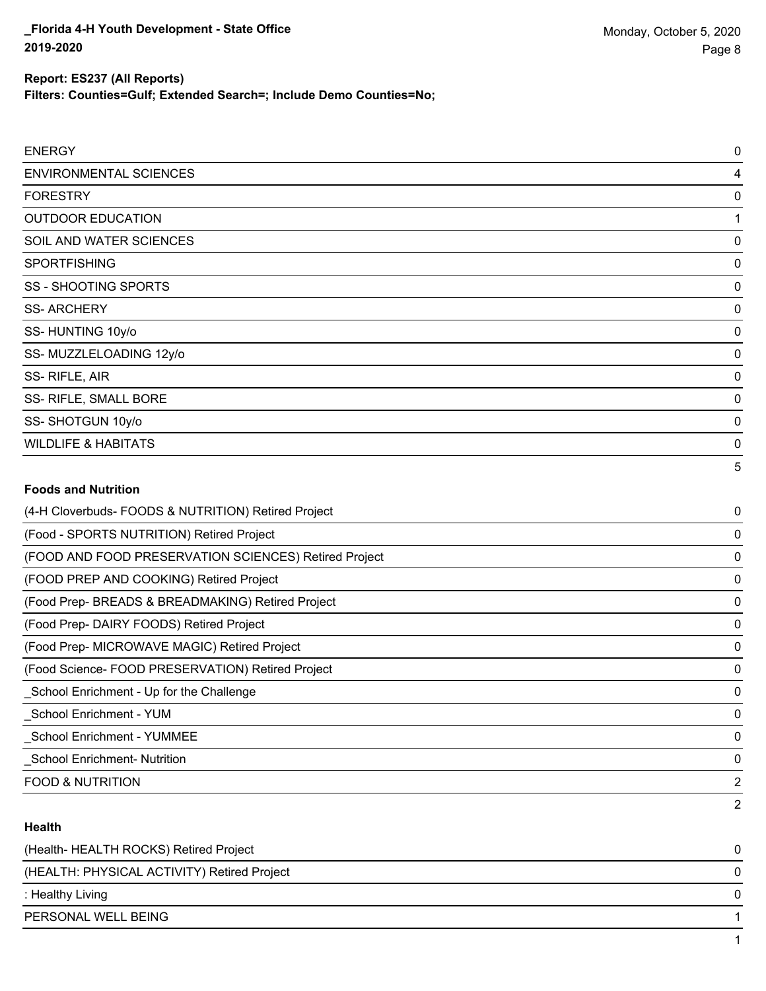#### **Report: ES237 (All Reports)**

**Filters: Counties=Gulf; Extended Search=; Include Demo Counties=No;**

| <b>ENERGY</b>                                         | 0 |
|-------------------------------------------------------|---|
| <b>ENVIRONMENTAL SCIENCES</b>                         | 4 |
| <b>FORESTRY</b>                                       | 0 |
| <b>OUTDOOR EDUCATION</b>                              |   |
| SOIL AND WATER SCIENCES                               | 0 |
| <b>SPORTFISHING</b>                                   | 0 |
| <b>SS - SHOOTING SPORTS</b>                           | 0 |
| <b>SS-ARCHERY</b>                                     | 0 |
| SS-HUNTING 10y/o                                      | 0 |
| SS-MUZZLELOADING 12y/o                                | 0 |
| SS-RIFLE, AIR                                         | 0 |
| SS- RIFLE, SMALL BORE                                 | 0 |
| SS-SHOTGUN 10y/o                                      | 0 |
| <b>WILDLIFE &amp; HABITATS</b>                        | 0 |
|                                                       | 5 |
| <b>Foods and Nutrition</b>                            |   |
| (4-H Cloverbuds- FOODS & NUTRITION) Retired Project   | 0 |
| (Food - SPORTS NUTRITION) Retired Project             | 0 |
| (FOOD AND FOOD PRESERVATION SCIENCES) Retired Project | 0 |

(FOOD PREP AND COOKING) Retired Project 0

(Food Prep- BREADS & BREADMAKING) Retired Project 0

(Food Prep- DAIRY FOODS) Retired Project 0

(Food Prep- MICROWAVE MAGIC) Retired Project 0

(Food Science- FOOD PRESERVATION) Retired Project 0

\_School Enrichment - YUM 0 \_School Enrichment - YUMMEE 0

\_School Enrichment- Nutrition 0

FOOD & NUTRITION 2

### **Health**

| (Health-HEALTH ROCKS) Retired Project       |  |
|---------------------------------------------|--|
| (HEALTH: PHYSICAL ACTIVITY) Retired Project |  |
| : Healthy Living                            |  |
| PERSONAL WELL BEING                         |  |
|                                             |  |

\_School Enrichment - Up for the Challenge 0

2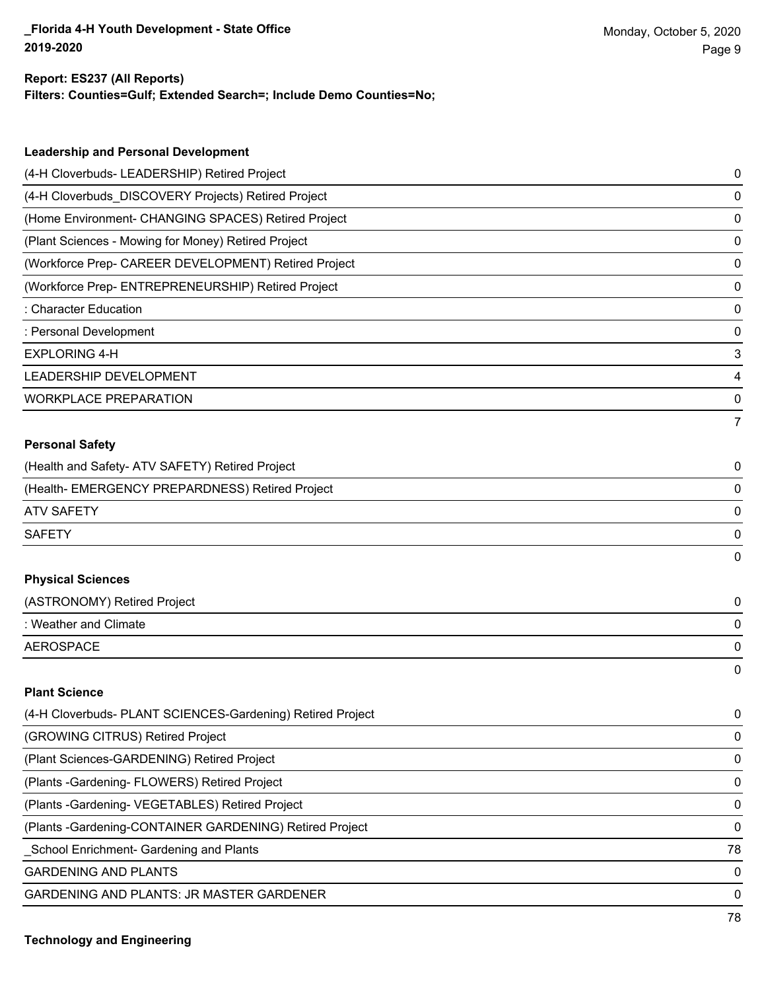### **Filters: Counties=Gulf; Extended Search=; Include Demo Counties=No; Report: ES237 (All Reports)**

| (4-H Cloverbuds- LEADERSHIP) Retired Project<br>0<br>(4-H Cloverbuds_DISCOVERY Projects) Retired Project<br>0<br>(Home Environment- CHANGING SPACES) Retired Project<br>0<br>(Plant Sciences - Mowing for Money) Retired Project<br>0<br>(Workforce Prep- CAREER DEVELOPMENT) Retired Project<br>0<br>(Workforce Prep- ENTREPRENEURSHIP) Retired Project<br>0<br><b>Character Education</b><br>0<br>: Personal Development<br>0<br><b>EXPLORING 4-H</b><br>3<br>LEADERSHIP DEVELOPMENT<br>4<br><b>WORKPLACE PREPARATION</b><br>0<br>7<br><b>Personal Safety</b><br>(Health and Safety- ATV SAFETY) Retired Project<br>0<br>(Health- EMERGENCY PREPARDNESS) Retired Project<br>0<br><b>ATV SAFETY</b><br>0<br><b>SAFETY</b><br>0<br>0<br><b>Physical Sciences</b><br>(ASTRONOMY) Retired Project<br>0<br>: Weather and Climate<br>0<br><b>AEROSPACE</b><br>0<br>0<br><b>Plant Science</b><br>(4-H Cloverbuds- PLANT SCIENCES-Gardening) Retired Project<br>0<br>(GROWING CITRUS) Retired Project<br>0<br>(Plant Sciences-GARDENING) Retired Project<br>0 | <b>Leadership and Personal Development</b>     |  |
|---------------------------------------------------------------------------------------------------------------------------------------------------------------------------------------------------------------------------------------------------------------------------------------------------------------------------------------------------------------------------------------------------------------------------------------------------------------------------------------------------------------------------------------------------------------------------------------------------------------------------------------------------------------------------------------------------------------------------------------------------------------------------------------------------------------------------------------------------------------------------------------------------------------------------------------------------------------------------------------------------------------------------------------------------------|------------------------------------------------|--|
|                                                                                                                                                                                                                                                                                                                                                                                                                                                                                                                                                                                                                                                                                                                                                                                                                                                                                                                                                                                                                                                         |                                                |  |
|                                                                                                                                                                                                                                                                                                                                                                                                                                                                                                                                                                                                                                                                                                                                                                                                                                                                                                                                                                                                                                                         |                                                |  |
|                                                                                                                                                                                                                                                                                                                                                                                                                                                                                                                                                                                                                                                                                                                                                                                                                                                                                                                                                                                                                                                         |                                                |  |
|                                                                                                                                                                                                                                                                                                                                                                                                                                                                                                                                                                                                                                                                                                                                                                                                                                                                                                                                                                                                                                                         |                                                |  |
|                                                                                                                                                                                                                                                                                                                                                                                                                                                                                                                                                                                                                                                                                                                                                                                                                                                                                                                                                                                                                                                         |                                                |  |
|                                                                                                                                                                                                                                                                                                                                                                                                                                                                                                                                                                                                                                                                                                                                                                                                                                                                                                                                                                                                                                                         |                                                |  |
|                                                                                                                                                                                                                                                                                                                                                                                                                                                                                                                                                                                                                                                                                                                                                                                                                                                                                                                                                                                                                                                         |                                                |  |
|                                                                                                                                                                                                                                                                                                                                                                                                                                                                                                                                                                                                                                                                                                                                                                                                                                                                                                                                                                                                                                                         |                                                |  |
|                                                                                                                                                                                                                                                                                                                                                                                                                                                                                                                                                                                                                                                                                                                                                                                                                                                                                                                                                                                                                                                         |                                                |  |
|                                                                                                                                                                                                                                                                                                                                                                                                                                                                                                                                                                                                                                                                                                                                                                                                                                                                                                                                                                                                                                                         |                                                |  |
|                                                                                                                                                                                                                                                                                                                                                                                                                                                                                                                                                                                                                                                                                                                                                                                                                                                                                                                                                                                                                                                         |                                                |  |
|                                                                                                                                                                                                                                                                                                                                                                                                                                                                                                                                                                                                                                                                                                                                                                                                                                                                                                                                                                                                                                                         |                                                |  |
|                                                                                                                                                                                                                                                                                                                                                                                                                                                                                                                                                                                                                                                                                                                                                                                                                                                                                                                                                                                                                                                         |                                                |  |
|                                                                                                                                                                                                                                                                                                                                                                                                                                                                                                                                                                                                                                                                                                                                                                                                                                                                                                                                                                                                                                                         |                                                |  |
|                                                                                                                                                                                                                                                                                                                                                                                                                                                                                                                                                                                                                                                                                                                                                                                                                                                                                                                                                                                                                                                         |                                                |  |
|                                                                                                                                                                                                                                                                                                                                                                                                                                                                                                                                                                                                                                                                                                                                                                                                                                                                                                                                                                                                                                                         |                                                |  |
|                                                                                                                                                                                                                                                                                                                                                                                                                                                                                                                                                                                                                                                                                                                                                                                                                                                                                                                                                                                                                                                         |                                                |  |
|                                                                                                                                                                                                                                                                                                                                                                                                                                                                                                                                                                                                                                                                                                                                                                                                                                                                                                                                                                                                                                                         |                                                |  |
|                                                                                                                                                                                                                                                                                                                                                                                                                                                                                                                                                                                                                                                                                                                                                                                                                                                                                                                                                                                                                                                         |                                                |  |
|                                                                                                                                                                                                                                                                                                                                                                                                                                                                                                                                                                                                                                                                                                                                                                                                                                                                                                                                                                                                                                                         |                                                |  |
|                                                                                                                                                                                                                                                                                                                                                                                                                                                                                                                                                                                                                                                                                                                                                                                                                                                                                                                                                                                                                                                         |                                                |  |
|                                                                                                                                                                                                                                                                                                                                                                                                                                                                                                                                                                                                                                                                                                                                                                                                                                                                                                                                                                                                                                                         |                                                |  |
|                                                                                                                                                                                                                                                                                                                                                                                                                                                                                                                                                                                                                                                                                                                                                                                                                                                                                                                                                                                                                                                         |                                                |  |
|                                                                                                                                                                                                                                                                                                                                                                                                                                                                                                                                                                                                                                                                                                                                                                                                                                                                                                                                                                                                                                                         |                                                |  |
|                                                                                                                                                                                                                                                                                                                                                                                                                                                                                                                                                                                                                                                                                                                                                                                                                                                                                                                                                                                                                                                         |                                                |  |
|                                                                                                                                                                                                                                                                                                                                                                                                                                                                                                                                                                                                                                                                                                                                                                                                                                                                                                                                                                                                                                                         |                                                |  |
|                                                                                                                                                                                                                                                                                                                                                                                                                                                                                                                                                                                                                                                                                                                                                                                                                                                                                                                                                                                                                                                         |                                                |  |
|                                                                                                                                                                                                                                                                                                                                                                                                                                                                                                                                                                                                                                                                                                                                                                                                                                                                                                                                                                                                                                                         |                                                |  |
| 0                                                                                                                                                                                                                                                                                                                                                                                                                                                                                                                                                                                                                                                                                                                                                                                                                                                                                                                                                                                                                                                       | (Plants - Gardening - FLOWERS) Retired Project |  |

(Plants -Gardening- VEGETABLES) Retired Project 0

(Plants -Gardening-CONTAINER GARDENING) Retired Project 0

\_School Enrichment- Gardening and Plants 78

GARDENING AND PLANTS O

GARDENING AND PLANTS: JR MASTER GARDENER 0